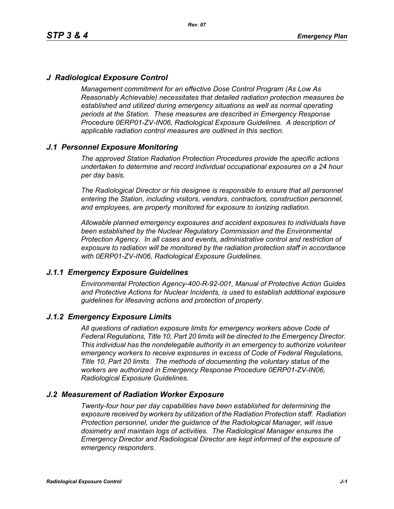# *J Radiological Exposure Control*

*Management commitment for an effective Dose Control Program (As Low As Reasonably Achievable) necessitates that detailed radiation protection measures be established and utilized during emergency situations as well as normal operating periods at the Station. These measures are described in Emergency Response Procedure 0ERP01-ZV-IN06, Radiological Exposure Guidelines. A description of applicable radiation control measures are outlined in this section.*

# *J.1 Personnel Exposure Monitoring*

*The approved Station Radiation Protection Procedures provide the specific actions undertaken to determine and record individual occupational exposures on a 24 hour per day basis.*

*The Radiological Director or his designee is responsible to ensure that all personnel entering the Station, including visitors, vendors, contractors, construction personnel, and employees, are properly monitored for exposure to ionizing radiation.*

*Allowable planned emergency exposures and accident exposures to individuals have been established by the Nuclear Regulatory Commission and the Environmental Protection Agency. In all cases and events, administrative control and restriction of exposure to radiation will be monitored by the radiation protection staff in accordance with 0ERP01-ZV-IN06, Radiological Exposure Guidelines.*

### *J.1.1 Emergency Exposure Guidelines*

*Environmental Protection Agency-400-R-92-001, Manual of Protective Action Guides and Protective Actions for Nuclear Incidents, is used to establish additional exposure guidelines for lifesaving actions and protection of property.*

### *J.1.2 Emergency Exposure Limits*

*All questions of radiation exposure limits for emergency workers above Code of Federal Regulations, Title 10, Part 20 limits will be directed to the Emergency Director. This individual has the nondelegable authority in an emergency to authorize volunteer emergency workers to receive exposures in excess of Code of Federal Regulations, Title 10, Part 20 limits. The methods of documenting the voluntary status of the workers are authorized in Emergency Response Procedure 0ERP01-ZV-IN06, Radiological Exposure Guidelines.*

### *J.2 Measurement of Radiation Worker Exposure*

*Twenty-four hour per day capabilities have been established for determining the exposure received by workers by utilization of the Radiation Protection staff. Radiation Protection personnel, under the guidance of the Radiological Manager, will issue dosimetry and maintain logs of activities. The Radiological Manager ensures the Emergency Director and Radiological Director are kept informed of the exposure of emergency responders.*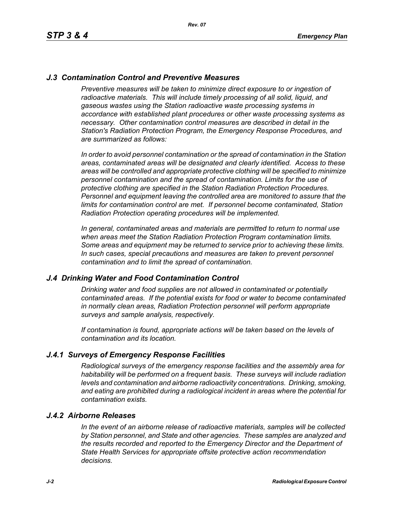# *J.3 Contamination Control and Preventive Measures*

*Preventive measures will be taken to minimize direct exposure to or ingestion of* radioactive materials. This will include timely processing of all solid, liquid, and *gaseous wastes using the Station radioactive waste processing systems in accordance with established plant procedures or other waste processing systems as necessary. Other contamination control measures are described in detail in the Station's Radiation Protection Program, the Emergency Response Procedures, and are summarized as follows:*

*In order to avoid personnel contamination or the spread of contamination in the Station areas, contaminated areas will be designated and clearly identified. Access to these areas will be controlled and appropriate protective clothing will be specified to minimize personnel contamination and the spread of contamination. Limits for the use of protective clothing are specified in the Station Radiation Protection Procedures. Personnel and equipment leaving the controlled area are monitored to assure that the limits for contamination control are met. If personnel become contaminated, Station Radiation Protection operating procedures will be implemented.* 

*In general, contaminated areas and materials are permitted to return to normal use when areas meet the Station Radiation Protection Program contamination limits. Some areas and equipment may be returned to service prior to achieving these limits. In such cases, special precautions and measures are taken to prevent personnel contamination and to limit the spread of contamination.*

### *J.4 Drinking Water and Food Contamination Control*

*Drinking water and food supplies are not allowed in contaminated or potentially contaminated areas. If the potential exists for food or water to become contaminated in normally clean areas, Radiation Protection personnel will perform appropriate surveys and sample analysis, respectively.*

*If contamination is found, appropriate actions will be taken based on the levels of contamination and its location.*

### *J.4.1 Surveys of Emergency Response Facilities*

*Radiological surveys of the emergency response facilities and the assembly area for habitability will be performed on a frequent basis. These surveys will include radiation levels and contamination and airborne radioactivity concentrations. Drinking, smoking, and eating are prohibited during a radiological incident in areas where the potential for contamination exists.*

#### *J.4.2 Airborne Releases*

*In the event of an airborne release of radioactive materials, samples will be collected by Station personnel, and State and other agencies. These samples are analyzed and the results recorded and reported to the Emergency Director and the Department of State Health Services for appropriate offsite protective action recommendation decisions.*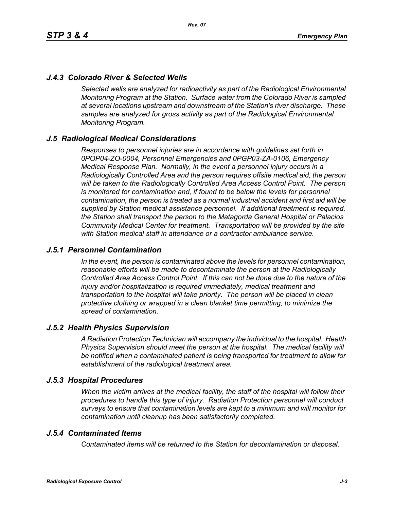# *J.4.3 Colorado River & Selected Wells*

*Selected wells are analyzed for radioactivity as part of the Radiological Environmental Monitoring Program at the Station. Surface water from the Colorado River is sampled at several locations upstream and downstream of the Station's river discharge. These samples are analyzed for gross activity as part of the Radiological Environmental Monitoring Program.*

# *J.5 Radiological Medical Considerations*

*Responses to personnel injuries are in accordance with guidelines set forth in 0POP04-ZO-0004, Personnel Emergencies and 0PGP03-ZA-0106, Emergency Medical Response Plan. Normally, in the event a personnel injury occurs in a Radiologically Controlled Area and the person requires offsite medical aid, the person will be taken to the Radiologically Controlled Area Access Control Point. The person is monitored for contamination and, if found to be below the levels for personnel contamination, the person is treated as a normal industrial accident and first aid will be supplied by Station medical assistance personnel. If additional treatment is required, the Station shall transport the person to the Matagorda General Hospital or Palacios Community Medical Center for treatment. Transportation will be provided by the site with Station medical staff in attendance or a contractor ambulance service.*

### *J.5.1 Personnel Contamination*

*In the event, the person is contaminated above the levels for personnel contamination, reasonable efforts will be made to decontaminate the person at the Radiologically Controlled Area Access Control Point. If this can not be done due to the nature of the injury and/or hospitalization is required immediately, medical treatment and transportation to the hospital will take priority. The person will be placed in clean protective clothing or wrapped in a clean blanket time permitting, to minimize the spread of contamination.*

### *J.5.2 Health Physics Supervision*

*A Radiation Protection Technician will accompany the individual to the hospital. Health Physics Supervision should meet the person at the hospital. The medical facility will be notified when a contaminated patient is being transported for treatment to allow for establishment of the radiological treatment area.*

### *J.5.3 Hospital Procedures*

*When the victim arrives at the medical facility, the staff of the hospital will follow their procedures to handle this type of injury. Radiation Protection personnel will conduct surveys to ensure that contamination levels are kept to a minimum and will monitor for contamination until cleanup has been satisfactorily completed.*

### *J.5.4 Contaminated Items*

*Contaminated items will be returned to the Station for decontamination or disposal.*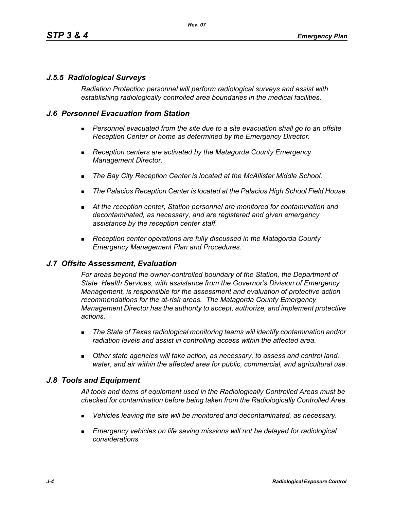# *J.5.5 Radiological Surveys*

*Radiation Protection personnel will perform radiological surveys and assist with establishing radiologically controlled area boundaries in the medical facilities.*

### *J.6 Personnel Evacuation from Station*

- **Personnel evacuated from the site due to a site evacuation shall go to an offsite** *Reception Center or home as determined by the Emergency Director.*
- *Reception centers are activated by the Matagorda County Emergency Management Director.*
- *The Bay City Reception Center is located at the McAllister Middle School.*
- *The Palacios Reception Center is located at the Palacios High School Field House.*
- *At the reception center, Station personnel are monitored for contamination and decontaminated, as necessary, and are registered and given emergency assistance by the reception center staff.*
- *Reception center operations are fully discussed in the Matagorda County Emergency Management Plan and Procedures.*

### *J.7 Offsite Assessment, Evaluation*

*For areas beyond the owner-controlled boundary of the Station, the Department of State Health Services, with assistance from the Governor's Division of Emergency Management, is responsible for the assessment and evaluation of protective action recommendations for the at-risk areas. The Matagorda County Emergency Management Director has the authority to accept, authorize, and implement protective actions.*

- *The State of Texas radiological monitoring teams will identify contamination and/or radiation levels and assist in controlling access within the affected area.*
- *Other state agencies will take action, as necessary, to assess and control land, water, and air within the affected area for public, commercial, and agricultural use.*

### *J.8 Tools and Equipment*

*All tools and items of equipment used in the Radiologically Controlled Areas must be checked for contamination before being taken from the Radiologically Controlled Area.*

- *Vehicles leaving the site will be monitored and decontaminated, as necessary.*
- **Emergency vehicles on life saving missions will not be delayed for radiological** *considerations.*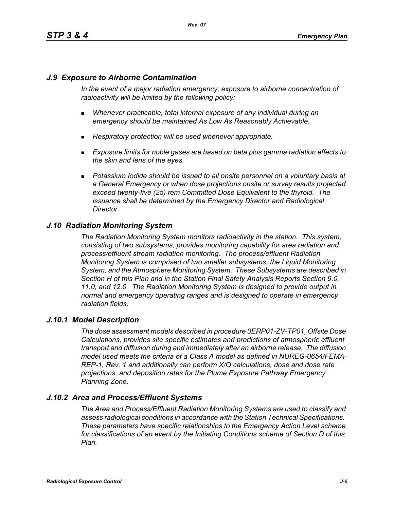# *J.9 Exposure to Airborne Contamination*

*In the event of a major radiation emergency, exposure to airborne concentration of radioactivity will be limited by the following policy:*

- *Whenever practicable, total internal exposure of any individual during an emergency should be maintained As Low As Reasonably Achievable.*
- *Respiratory protection will be used whenever appropriate.*
- *Exposure limits for noble gases are based on beta plus gamma radiation effects to the skin and lens of the eyes.*
- **Potassium Iodide should be issued to all onsite personnel on a voluntary basis at** *a General Emergency or when dose projections onsite or survey results projected exceed twenty-five (25) rem Committed Dose Equivalent to the thyroid. The issuance shall be determined by the Emergency Director and Radiological Director.*

# *J.10 Radiation Monitoring System*

*The Radiation Monitoring System monitors radioactivity in the station. This system, consisting of two subsystems, provides monitoring capability for area radiation and process/effluent stream radiation monitoring. The process/effluent Radiation Monitoring System is comprised of two smaller subsystems, the Liquid Monitoring System, and the Atmosphere Monitoring System. These Subsystems are described in Section H of this Plan and in the Station Final Safety Analysis Reports Section 9.0, 11.0, and 12.0. The Radiation Monitoring System is designed to provide output in normal and emergency operating ranges and is designed to operate in emergency radiation fields.*

### *J.10.1 Model Description*

*The dose assessment models described in procedure 0ERP01-ZV-TP01, Offsite Dose Calculations, provides site specific estimates and predictions of atmospheric effluent transport and diffusion during and immediately after an airborne release. The diffusion model used meets the criteria of a Class A model as defined in NUREG-0654/FEMA-REP-1, Rev. 1 and additionally can perform X/Q calculations, dose and dose rate projections, and deposition rates for the Plume Exposure Pathway Emergency Planning Zone.*

# *J.10.2 Area and Process/Effluent Systems*

*The Area and Process/Effluent Radiation Monitoring Systems are used to classify and assess radiological conditions in accordance with the Station Technical Specifications. These parameters have specific relationships to the Emergency Action Level scheme for classifications of an event by the Initiating Conditions scheme of Section D of this Plan.*